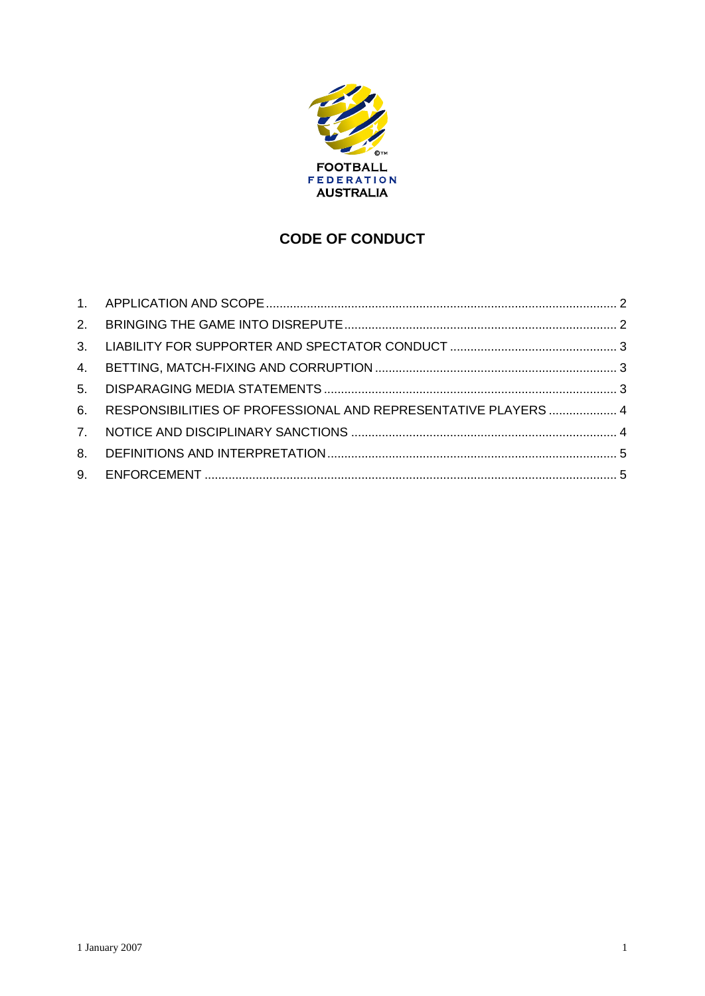

# **CODE OF CONDUCT**

| $5 -$          |                                                                |  |
|----------------|----------------------------------------------------------------|--|
| 6.             | RESPONSIBILITIES OF PROFESSIONAL AND REPRESENTATIVE PLAYERS  4 |  |
| $\overline{7}$ |                                                                |  |
| 8.             |                                                                |  |
| 9.             |                                                                |  |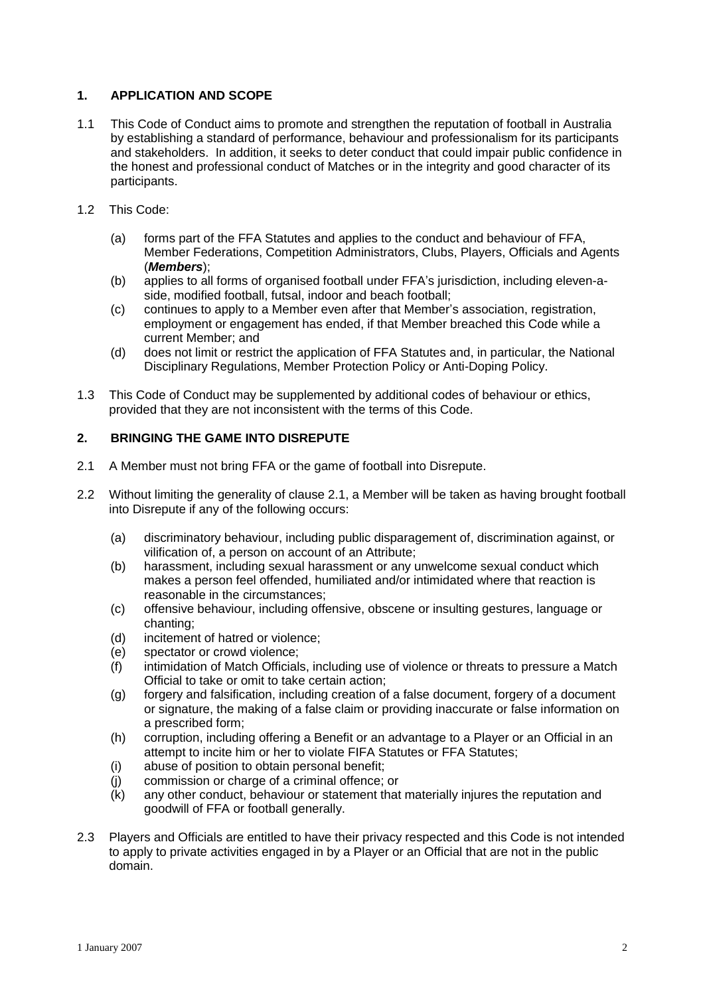## **1. APPLICATION AND SCOPE**

- 1.1 This Code of Conduct aims to promote and strengthen the reputation of football in Australia by establishing a standard of performance, behaviour and professionalism for its participants and stakeholders. In addition, it seeks to deter conduct that could impair public confidence in the honest and professional conduct of Matches or in the integrity and good character of its participants.
- 1.2 This Code:
	- (a) forms part of the FFA Statutes and applies to the conduct and behaviour of FFA, Member Federations, Competition Administrators, Clubs, Players, Officials and Agents<br>(*Members*);<br>(b) applies to all forms of organised football under FFA's jurisdiction, including eleven-a-(**Members**);
	- side, modified football, futsal, indoor and beach football; (b) applies to all forms of organised football under FFA's jurisdiction, including eleven-a-<br>side, modified football, futsal, indoor and beach football;<br>(c) continues to apply to a Member even after that Member's associati
	- employment or engagement has ended, if that Member breached this Code while a current Member; and
	- (d) does not limit or restrict the application of FFA Statutes and, in particular, the National Disciplinary Regulations, Member Protection Policy or Anti-Doping Policy.
- 1.3 This Code of Conduct may be supplemented by additional codes of behaviour or ethics, provided that they are not inconsistent with the terms of this Code.

# **2. BRINGING THE GAME INTO DISREPUTE**

- 2.1 A Member must not bring FFA or the game of football into Disrepute.
- 2.2 Without limiting the generality of clause 2.1, a Member will be taken as having brought football into Disrepute if any of the following occurs:
	- (a) discriminatory behaviour, including public disparagement of, discrimination against, or vilification of, a person on account of an Attribute;
	- (b) harassment, including sexual harassment or any unwelcome sexual conduct which makes a person feel offended, humiliated and/or intimidated where that reaction is reasonable in the circumstances;
	- (c) offensive behaviour, including offensive, obscene or insulting gestures, language or chanting;
	- (d) incitement of hatred or violence;
	- (e) spectator or crowd violence;
	- (f) intimidation of Match Officials, including use of violence or threats to pressure a Match Official to take or omit to take certain action;
	- (g) forgery and falsification, including creation of a false document, forgery of a document or signature, the making of a false claim or providing inaccurate or false information on a prescribed form;
	- (h) corruption, including offering a Benefit or an advantage to a Player or an Official in an attempt to incite him or her to violate FIFA Statutes or FFA Statutes;
	- (i) abuse of position to obtain personal benefit;
	- (j) commission or charge of a criminal offence; or
	- (k) any other conduct, behaviour or statement that materially injures the reputation and goodwill of FFA or football generally.
- 2.3 Players and Officials are entitled to have their privacy respected and this Code is not intended to apply to private activities engaged in by a Player or an Official that are not in the public domain.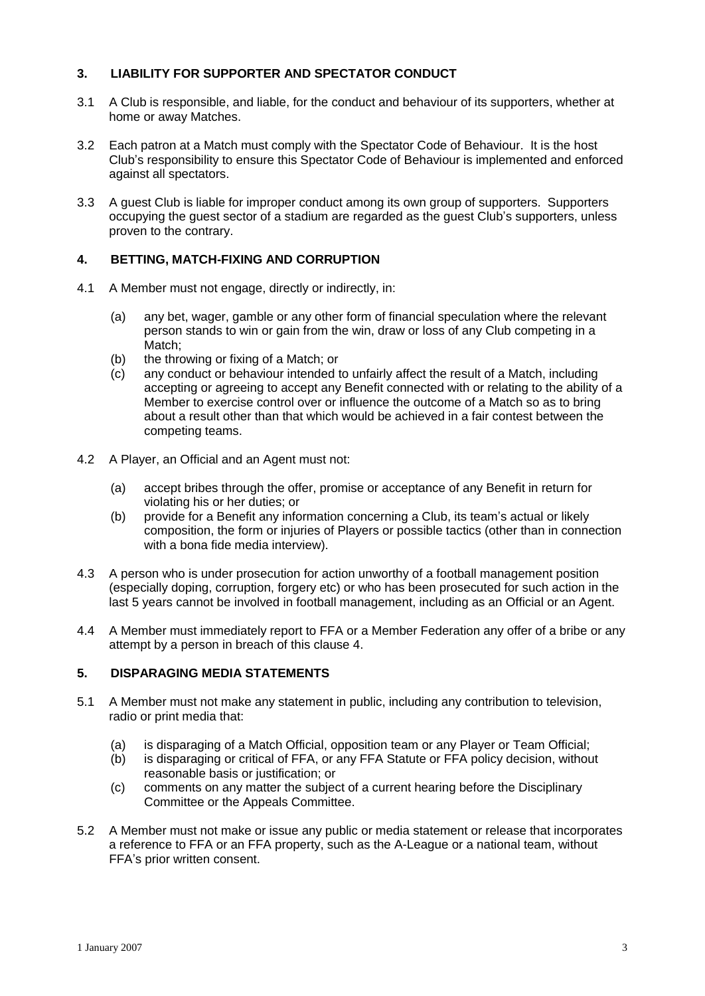## **3. LIABILITY FOR SUPPORTER AND SPECTATOR CONDUCT**

- 3.1 A Club is responsible, and liable, for the conduct and behaviour of its supporters, whether at home or away Matches.
- 3.2 Each patron at a Match must comply with the Spectator Code of Behaviour. It is the host Clubí<sup>s</sup> responsibility to ensure this Spectator Code of Behaviour is implemented and enforced against all spectators.
- 3.3 A guest Club is liable for improper conduct among its own group of supporters. Supporters occupying the quest sector of a stadium are regarded as the quest Club's supporters, unless proven to the contrary.

## **4. BETTING, MATCH-FIXING AND CORRUPTION**

- 4.1 A Member must not engage, directly or indirectly, in:
	- (a) any bet, wager, gamble or any other form of financial speculation where the relevant person stands to win or gain from the win, draw or loss of any Club competing in a Match;
	- (b) the throwing or fixing of a Match; or
	- (c) any conduct or behaviour intended to unfairly affect the result of a Match, including accepting or agreeing to accept any Benefit connected with or relating to the ability of a Member to exercise control over or influence the outcome of a Match so as to bring about a result other than that which would be achieved in a fair contest between the competing teams.
- 4.2 A Player, an Official and an Agent must not:
	- (a) accept bribes through the offer, promise or acceptance of any Benefit in return for violating his or her duties; or
	- (b) provide for <sup>a</sup> Benefit any information concerning <sup>a</sup> Club, its teamí<sup>s</sup> actual or likely composition, the form or injuries of Players or possible tactics (other than in connection with a bona fide media interview).
- 4.3 A person who is under prosecution for action unworthy of a football management position (especially doping, corruption, forgery etc) or who has been prosecuted for such action in the last 5 years cannot be involved in football management, including as an Official or an Agent.
- 4.4 A Member must immediately report to FFA or a Member Federation any offer of a bribe or any attempt by a person in breach of this clause 4.

# **5. DISPARAGING MEDIA STATEMENTS**

- 5.1 A Member must not make any statement in public, including any contribution to television, radio or print media that:
	- (a) is disparaging of a Match Official, opposition team or any Player or Team Official;
	- (b) is disparaging or critical of FFA, or any FFA Statute or FFA policy decision, without reasonable basis or justification; or
	- (c) comments on any matter the subject of a current hearing before the Disciplinary Committee or the Appeals Committee.
- 5.2 A Member must not make or issue any public or media statement or release that incorporates a reference to FFA or an FFA property, such as the A-League or a national team, without A Member must not make o<br>a reference to FFA or an FF<br>FFA's prior written consent.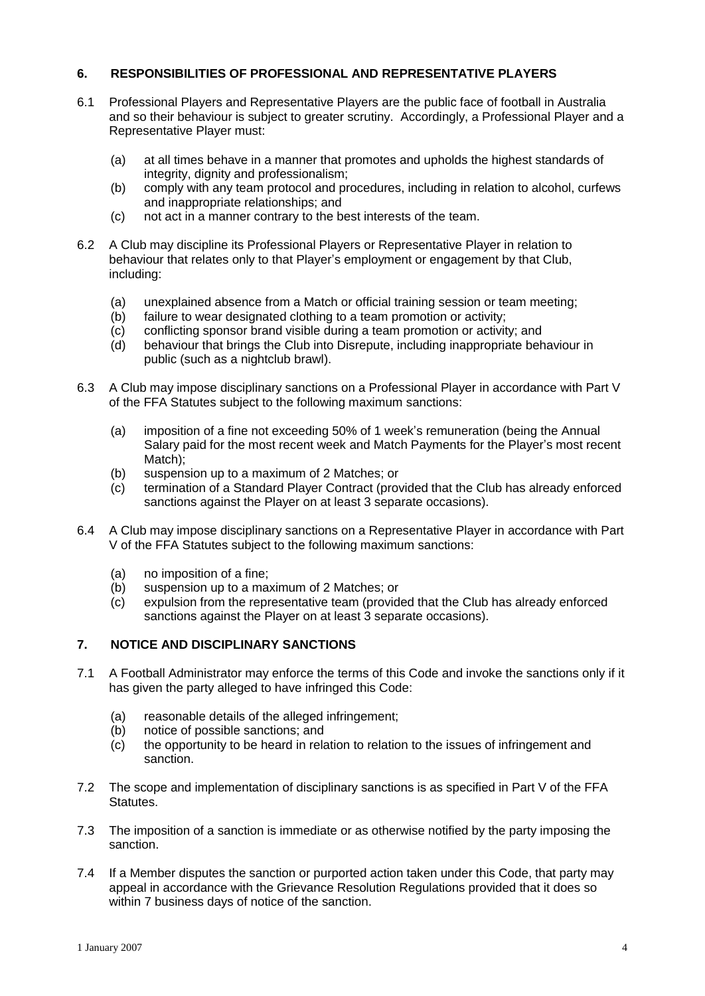## **6. RESPONSIBILITIES OF PROFESSIONAL AND REPRESENTATIVE PLAYERS**

- 6.1 Professional Players and Representative Players are the public face of football in Australia and so their behaviour is subject to greater scrutiny. Accordingly, a Professional Player and a Representative Player must:
	- (a) at all times behave in a manner that promotes and upholds the highest standards of integrity, dignity and professionalism;
	- (b) comply with any team protocol and procedures, including in relation to alcohol, curfews and inappropriate relationships; and
	- (c) not act in a manner contrary to the best interests of the team.
- 6.2 A Club may discipline its Professional Players or Representative Player in relation to behaviour that relative terms of the second sector that committed the Committee of the Club may discipline its Professional Players or Representative Player in relation to behaviour that relates only to that Player's emplo including:
	- (a) unexplained absence from a Match or official training session or team meeting;
	- (b) failure to wear designated clothing to a team promotion or activity;
	- (c) conflicting sponsor brand visible during a team promotion or activity; and
	- (d) behaviour that brings the Club into Disrepute, including inappropriate behaviour in public (such as a nightclub brawl).
- 6.3 A Club may impose disciplinary sanctions on a Professional Player in accordance with Part V of the FFA Statutes subject to the following maximum sanctions: of the FFA Statutes subject to the following maximum sanctions:<br>(a) imposition of a fine not exceeding 50% of 1 week's remuneration (being the Annual
	- on a statute statute care in the morning manimum same form.<br>Imposition of a fine not exceeding 50% of 1 week's remuneration (being the Annual<br>Salary paid for the most recent week and Match Payments for the Player's most re Match);
	- (b) suspension up to a maximum of 2 Matches; or
	- (c) termination of a Standard Player Contract (provided that the Club has already enforced sanctions against the Player on at least 3 separate occasions).
- 6.4 A Club may impose disciplinary sanctions on a Representative Player in accordance with Part V of the FFA Statutes subject to the following maximum sanctions:
	- (a) no imposition of a fine;
	- (b) suspension up to a maximum of 2 Matches; or
	- (c) expulsion from the representative team (provided that the Club has already enforced sanctions against the Player on at least 3 separate occasions).

## **7. NOTICE AND DISCIPLINARY SANCTIONS**

- 7.1 A Football Administrator may enforce the terms of this Code and invoke the sanctions only if it has given the party alleged to have infringed this Code:
	- (a) reasonable details of the alleged infringement;
	- (b) notice of possible sanctions; and
	- (c) the opportunity to be heard in relation to relation to the issues of infringement and sanction.
- 7.2 The scope and implementation of disciplinary sanctions is as specified in Part V of the FFA Statutes.
- 7.3 The imposition of a sanction is immediate or as otherwise notified by the party imposing the sanction.
- 7.4 If a Member disputes the sanction or purported action taken under this Code, that party may appeal in accordance with the Grievance Resolution Regulations provided that it does so within 7 business days of notice of the sanction.